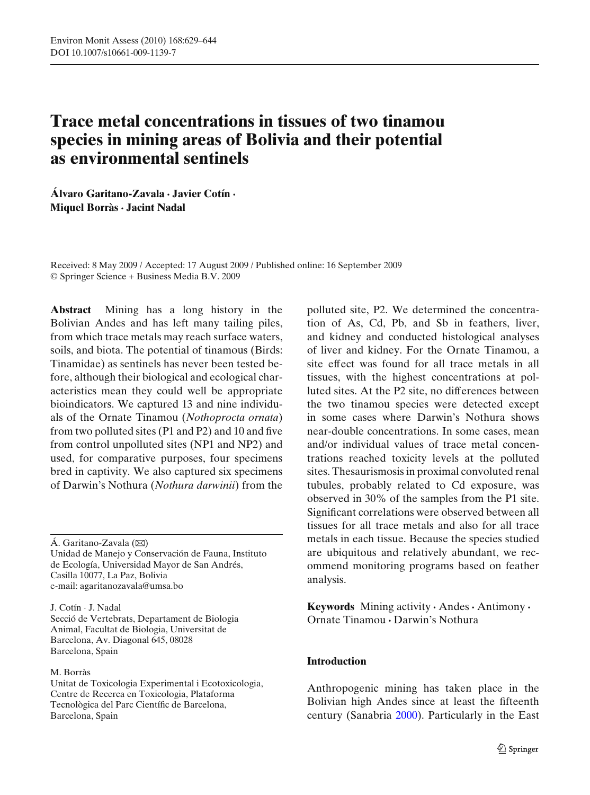# **Trace metal concentrations in tissues of two tinamou species in mining areas of Bolivia and their potential as environmental sentinels**

**Álvaro Garitano-Zavala · Javier Cotín · Miquel Borràs · Jacint Nadal**

Received: 8 May 2009 / Accepted: 17 August 2009 / Published online: 16 September 2009 © Springer Science + Business Media B.V. 2009

**Abstract** Mining has a long history in the Bolivian Andes and has left many tailing piles, from which trace metals may reach surface waters, soils, and biota. The potential of tinamous (Birds: Tinamidae) as sentinels has never been tested before, although their biological and ecological characteristics mean they could well be appropriate bioindicators. We captured 13 and nine individuals of the Ornate Tinamou (*Nothoprocta ornata*) from two polluted sites (P1 and P2) and 10 and five from control unpolluted sites (NP1 and NP2) and used, for comparative purposes, four specimens bred in captivity. We also captured six specimens of Darwin's Nothura (*Nothura darwinii*) from the

Á. Garitano-Zavala (B)

Unidad de Manejo y Conservación de Fauna, Instituto de Ecología, Universidad Mayor de San Andrés, Casilla 10077, La Paz, Bolivia e-mail: agaritanozavala@umsa.bo

J. Cotín · J. Nadal

Secció de Vertebrats, Departament de Biologia Animal, Facultat de Biologia, Universitat de Barcelona, Av. Diagonal 645, 08028 Barcelona, Spain

#### M. Borràs

polluted site, P2. We determined the concentration of As, Cd, Pb, and Sb in feathers, liver, and kidney and conducted histological analyses of liver and kidney. For the Ornate Tinamou, a site effect was found for all trace metals in all tissues, with the highest concentrations at polluted sites. At the P2 site, no differences between the two tinamou species were detected except in some cases where Darwin's Nothura shows near-double concentrations. In some cases, mean and/or individual values of trace metal concentrations reached toxicity levels at the polluted sites. Thesaurismosis in proximal convoluted renal tubules, probably related to Cd exposure, was observed in 30% of the samples from the P1 site. Significant correlations were observed between all tissues for all trace metals and also for all trace metals in each tissue. Because the species studied are ubiquitous and relatively abundant, we recommend monitoring programs based on feather analysis.

**Keywords** Mining activity **·** Andes **·** Antimony **·** Ornate Tinamou **·** Darwin's Nothura

## **Introduction**

Anthropogenic mining has taken place in the Bolivian high Andes since at least the fifteenth century (Sanabri[a](#page-15-0) [2000](#page-15-0)). Particularly in the East

Unitat de Toxicologia Experimental i Ecotoxicologia, Centre de Recerca en Toxicologia, Plataforma Tecnològica del Parc Científic de Barcelona, Barcelona, Spain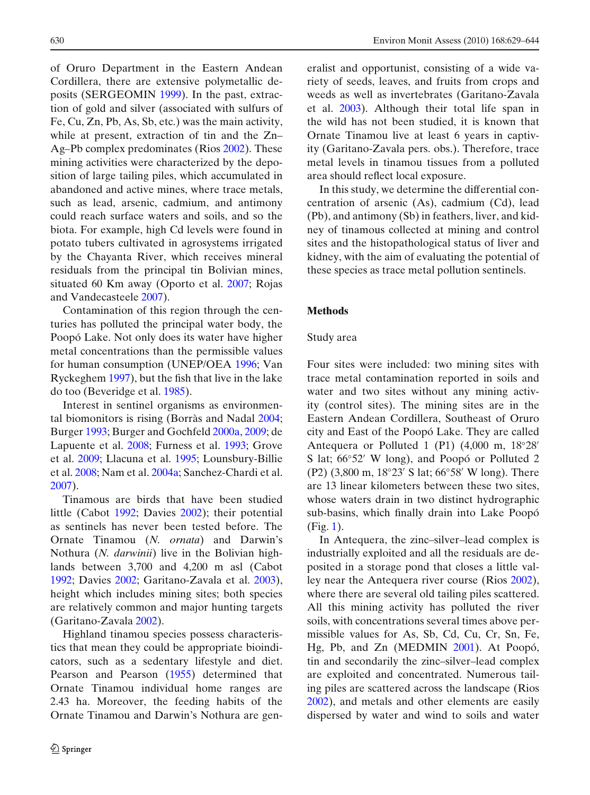of Oruro Department in the Eastern Andean Cordillera, there are extensive polymetallic deposits (SERGEOMI[N](#page-15-0) [1999](#page-15-0)). In the past, extraction of gold and silver (associated with sulfurs of Fe, Cu, Zn, Pb, As, Sb, etc.) was the main activity, while at present, extraction of tin and the Zn– Ag–Pb complex predominates (Rio[s](#page-15-0) [2002](#page-15-0)). These mining activities were characterized by the deposition of large tailing piles, which accumulated in abandoned and active mines, where trace metals, such as lead, arsenic, cadmium, and antimony could reach surface waters and soils, and so the biota. For example, high Cd levels were found in potato tubers cultivated in agrosystems irrigated by the Chayanta River, which receives mineral residuals from the principal tin Bolivian mines, situated 60 Km away (Oporto et al[.](#page-15-0) [2007;](#page-15-0) Rojas and Vandecasteel[e](#page-15-0) [2007](#page-15-0)).

Contamination of this region through the centuries has polluted the principal water body, the Poopó Lake. Not only does its water have higher metal concentrations than the permissible values for human consumption (UNEP/OE[A](#page-15-0) [1996](#page-15-0); Van Ryckeghe[m](#page-15-0) [1997\)](#page-15-0), but the fish that live in the lake do too (Beveridge et al[.](#page-13-0) [1985\)](#page-13-0).

Interest in sentinel organisms as environmental biomonitors is rising (Borràs and Nada[l](#page-13-0) [2004;](#page-13-0) Burge[r](#page-13-0) [1993](#page-13-0); Burger and Gochfel[d](#page-13-0) [2000a](#page-13-0), [2009](#page-13-0); de Lapuente et al[.](#page-14-0) [2008](#page-14-0); Furness et al[.](#page-14-0) [1993](#page-14-0); Grove et al[.](#page-14-0) [2009](#page-14-0); Llacuna et al[.](#page-14-0) [1995](#page-14-0); Lounsbury-Billie et al[.](#page-15-0) [2008;](#page-15-0) Nam et al[.](#page-15-0) [2004a;](#page-15-0) Sanchez-Chardi et al[.](#page-15-0) [2007\)](#page-15-0).

Tinamous are birds that have been studied little (Cabo[t](#page-14-0) [1992](#page-14-0); Davie[s](#page-14-0) [2002\)](#page-14-0); their potential as sentinels has never been tested before. The Ornate Tinamou (*N. ornata*) and Darwin's Nothura (*N. darwinii*) live in the Bolivian highlands between 3,700 and 4,200 m asl (Cabo[t](#page-14-0) [1992;](#page-14-0) Davie[s](#page-14-0) [2002;](#page-14-0) Garitano-Zavala et al[.](#page-14-0) [2003\)](#page-14-0), height which includes mining sites; both species are relatively common and major hunting targets (Garitano-Zaval[a](#page-14-0) [2002\)](#page-14-0).

Highland tinamou species possess characteristics that mean they could be appropriate bioindicators, such as a sedentary lifestyle and diet. Pearson and Pearso[n](#page-15-0) [\(1955](#page-15-0)) determined that Ornate Tinamou individual home ranges are 2.43 ha. Moreover, the feeding habits of the Ornate Tinamou and Darwin's Nothura are generalist and opportunist, consisting of a wide variety of seeds, leaves, and fruits from crops and weeds as well as invertebrates (Garitano-Zavala et al[.](#page-14-0) [2003\)](#page-14-0). Although their total life span in the wild has not been studied, it is known that Ornate Tinamou live at least 6 years in captivity (Garitano-Zavala pers. obs.). Therefore, trace metal levels in tinamou tissues from a polluted area should reflect local exposure.

In this study, we determine the differential concentration of arsenic (As), cadmium (Cd), lead (Pb), and antimony (Sb) in feathers, liver, and kidney of tinamous collected at mining and control sites and the histopathological status of liver and kidney, with the aim of evaluating the potential of these species as trace metal pollution sentinels.

## **Methods**

#### Study area

Four sites were included: two mining sites with trace metal contamination reported in soils and water and two sites without any mining activity (control sites). The mining sites are in the Eastern Andean Cordillera, Southeast of Oruro city and East of the Poopó Lake. They are called Antequera or Polluted 1 (P1)  $(4,000 \text{ m}, 18°28')$ S lat; 66°52′ W long), and Poopó or Polluted 2 (P2) (3,800 m, 18◦23 S lat; 66◦58 W long). There are 13 linear kilometers between these two sites, whose waters drain in two distinct hydrographic sub-basins, which finally drain into Lake Poopó (Fig. [1\)](#page-2-0).

In Antequera, the zinc–silver–lead complex is industrially exploited and all the residuals are deposited in a storage pond that closes a little valley near the Antequera river course (Rio[s](#page-15-0) [2002\)](#page-15-0), where there are several old tailing piles scattered. All this mining activity has polluted the river soils, with concentrations several times above permissible values for As, Sb, Cd, Cu, Cr, Sn, Fe, Hg, Pb, and Zn (MEDMI[N](#page-15-0) [2001\)](#page-15-0). At Poopó, tin and secondarily the zinc–silver–lead complex are exploited and concentrated. Numerous tailing piles are scattered across the landscape (Rio[s](#page-15-0) [2002\)](#page-15-0), and metals and other elements are easily dispersed by water and wind to soils and water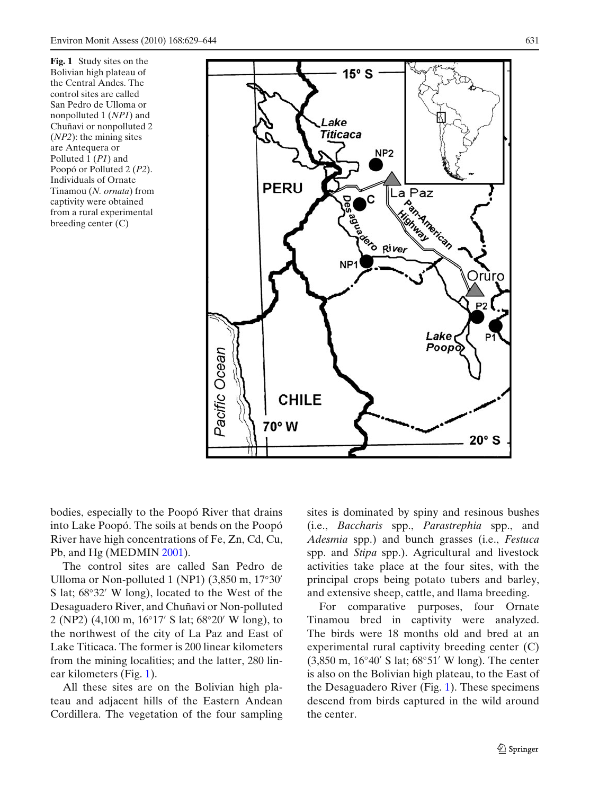<span id="page-2-0"></span>**Fig. 1** Study sites on the Bolivian high plateau of the Central Andes. The control sites are called San Pedro de Ulloma or nonpolluted 1 (*NP1*) and Chuñavi or nonpolluted 2 (*NP2*): the mining sites are Antequera or Polluted 1 (*P1*) and Poopó or Polluted 2 (*P2*). Individuals of Ornate Tinamou (*N. ornata*) from captivity were obtained from a rural experimental breeding center (C)



bodies, especially to the Poopó River that drains into Lake Poopó. The soils at bends on the Poopó River have high concentrations of Fe, Zn, Cd, Cu, Pb, and Hg (MEDMI[N](#page-15-0) [2001](#page-15-0)).

The control sites are called San Pedro de Ulloma or Non-polluted 1 (NP1)  $(3,850 \text{ m}, 17°30'$ S lat; 68◦32 W long), located to the West of the Desaguadero River, and Chuñavi or Non-polluted 2 (NP2) (4,100 m, 16◦17 S lat; 68◦20 W long), to the northwest of the city of La Paz and East of Lake Titicaca. The former is 200 linear kilometers from the mining localities; and the latter, 280 linear kilometers (Fig. 1).

All these sites are on the Bolivian high plateau and adjacent hills of the Eastern Andean Cordillera. The vegetation of the four sampling sites is dominated by spiny and resinous bushes (i.e., *Baccharis* spp., *Parastrephia* spp., and *Adesmia* spp.) and bunch grasses (i.e., *Festuca* spp. and *Stipa* spp.). Agricultural and livestock activities take place at the four sites, with the principal crops being potato tubers and barley, and extensive sheep, cattle, and llama breeding.

For comparative purposes, four Ornate Tinamou bred in captivity were analyzed. The birds were 18 months old and bred at an experimental rural captivity breeding center (C) (3,850 m, 16◦40 S lat; 68◦51 W long). The center is also on the Bolivian high plateau, to the East of the Desaguadero River (Fig. 1). These specimens descend from birds captured in the wild around the center.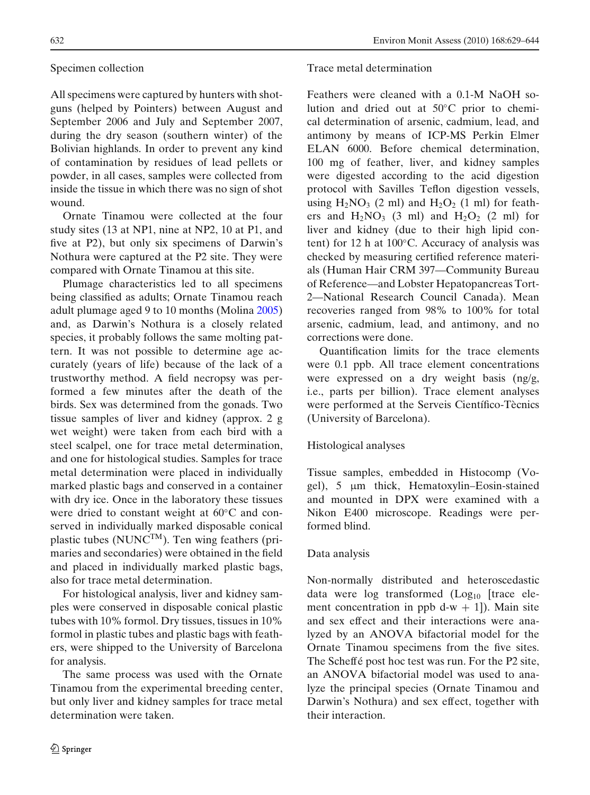# Specimen collection

All specimens were captured by hunters with shotguns (helped by Pointers) between August and September 2006 and July and September 2007, during the dry season (southern winter) of the Bolivian highlands. In order to prevent any kind of contamination by residues of lead pellets or powder, in all cases, samples were collected from inside the tissue in which there was no sign of shot wound.

Ornate Tinamou were collected at the four study sites (13 at NP1, nine at NP2, 10 at P1, and five at P2), but only six specimens of Darwin's Nothura were captured at the P2 site. They were compared with Ornate Tinamou at this site.

Plumage characteristics led to all specimens being classified as adults; Ornate Tinamou reach adult plumage aged 9 to 10 months (Molin[a](#page-15-0) [2005](#page-15-0)) and, as Darwin's Nothura is a closely related species, it probably follows the same molting pattern. It was not possible to determine age accurately (years of life) because of the lack of a trustworthy method. A field necropsy was performed a few minutes after the death of the birds. Sex was determined from the gonads. Two tissue samples of liver and kidney (approx. 2 g wet weight) were taken from each bird with a steel scalpel, one for trace metal determination, and one for histological studies. Samples for trace metal determination were placed in individually marked plastic bags and conserved in a container with dry ice. Once in the laboratory these tissues were dried to constant weight at 60◦C and conserved in individually marked disposable conical plastic tubes (NUNC<sup>TM</sup>). Ten wing feathers (primaries and secondaries) were obtained in the field and placed in individually marked plastic bags, also for trace metal determination.

For histological analysis, liver and kidney samples were conserved in disposable conical plastic tubes with 10% formol. Dry tissues, tissues in 10% formol in plastic tubes and plastic bags with feathers, were shipped to the University of Barcelona for analysis.

The same process was used with the Ornate Tinamou from the experimental breeding center, but only liver and kidney samples for trace metal determination were taken.

# Trace metal determination

Feathers were cleaned with a 0.1-M NaOH solution and dried out at 50◦C prior to chemical determination of arsenic, cadmium, lead, and antimony by means of ICP-MS Perkin Elmer ELAN 6000. Before chemical determination, 100 mg of feather, liver, and kidney samples were digested according to the acid digestion protocol with Savilles Teflon digestion vessels, using  $H_2NO_3$  (2 ml) and  $H_2O_2$  (1 ml) for feathers and  $H_2NO_3$  (3 ml) and  $H_2O_2$  (2 ml) for liver and kidney (due to their high lipid content) for 12 h at 100◦C. Accuracy of analysis was checked by measuring certified reference materials (Human Hair CRM 397—Community Bureau of Reference—and Lobster Hepatopancreas Tort-2—National Research Council Canada). Mean recoveries ranged from 98% to 100% for total arsenic, cadmium, lead, and antimony, and no corrections were done.

Quantification limits for the trace elements were 0.1 ppb. All trace element concentrations were expressed on a dry weight basis (ng/g, i.e., parts per billion). Trace element analyses were performed at the Serveis Científico-Tècnics (University of Barcelona).

# Histological analyses

Tissue samples, embedded in Histocomp (Vogel), 5 μm thick, Hematoxylin–Eosin-stained and mounted in DPX were examined with a Nikon E400 microscope. Readings were performed blind.

## Data analysis

Non-normally distributed and heteroscedastic data were log transformed  $(Log<sub>10</sub>)$  [trace element concentration in ppb  $d-w + 1$ ]). Main site and sex effect and their interactions were analyzed by an ANOVA bifactorial model for the Ornate Tinamou specimens from the five sites. The Scheffé post hoc test was run. For the P2 site, an ANOVA bifactorial model was used to analyze the principal species (Ornate Tinamou and Darwin's Nothura) and sex effect, together with their interaction.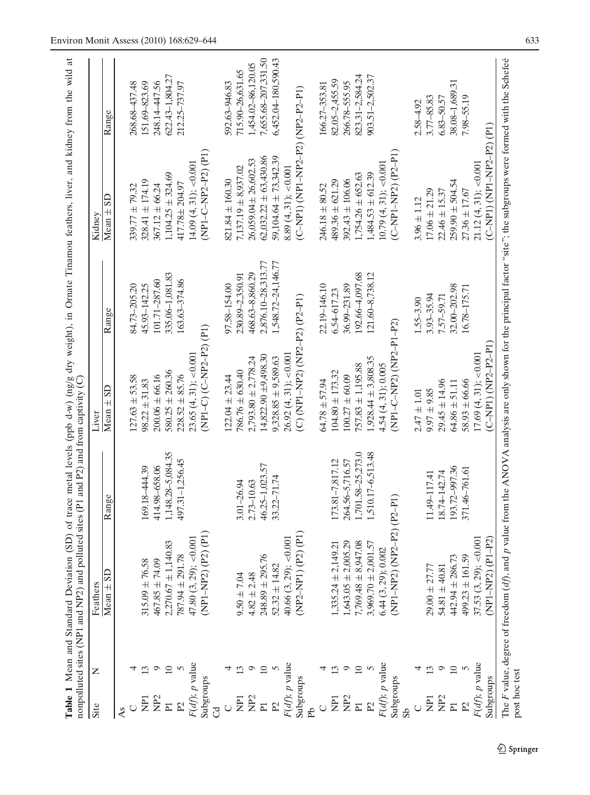<span id="page-4-0"></span>

| 2,876.10-28,313.77<br>1,548.72-24,146.77<br>468.63-8.860.29<br>192.66-4,097.68<br>335.06-1.081.83<br>121.60-8,738.12<br>230.89-2,350.91<br>101.71-287.60<br>163.63-374.86<br>22.19-146.10<br>36.99-231.89<br>45.93-142.25<br>97.58-154.00<br>32.00-202.98<br>84.73-205.20<br>$6.54 - 617.23$<br>$3.93 - 35.94$<br>(C) (NP1-NP2) (NP2-P2) (P2-P1)<br>7.57–59.71<br>$1.55 - 3.90$<br>Range<br>(NP1-C-NP2) (NP2-P1-P2)<br>(NP1-C) (C-NAZ-U) (C-LAN)<br>26.92(4.31): < 0.001<br>$23.65(4, 31); -0.001$<br>$14,822.90 + 9,498.30$<br>$1,928.44 \pm 3,808.35$<br>$9,328.85 \pm 9,589.63$<br>$2,793.80 \pm 2,778.24$<br>$757.83 \pm 1,195.88$<br>4.54 (4, 31); 0.005<br>$580.25 \pm 260.36$<br>$104.80 \pm 173.32$<br>$786.76 \pm 630.40$<br>$200.06 \pm 66.16$<br>$228.52 \pm 85.76$<br>$100.27 \pm 60.09$<br>$127.63 \pm 53.58$<br>$122.04 \pm 23.44$<br>$98.22 \pm 31.83$<br>$64.78 \pm 57.94$<br>$29.45 \pm 14.96$<br>$64.86 \pm 51.11$<br>$Mean \pm SD$<br>$9.97 \pm 9.85$<br>$2.47 \pm 1.01$<br>1,701.58-25,273.0<br>1,148.28-5,084.35<br>1,510.17-6,513.48<br>497.31-1,256.45<br>173.81–7,817.12<br>264.56–5,716.57<br>46.25-1,023.57<br>193.72-997.36<br>414.98-658.06<br>169.18-444.39<br>18.74–142.74<br>11.49-117.41<br>33.22-71.74<br>2.73-10.63<br>$3.01 - 26.94$<br>Range<br>(NP1-NP2) (NP2-P2) (P2-P1)<br>(NP1-NP2) (P2) (P1)<br>$(NP2-NP1)(P2)(P1)$<br>47.80(3, 29); < 0.001<br>40.66(3, 29); < 0.001<br>$1,643.05 \pm 2,005.29$<br>$7,769.48 \pm 8,947.08$<br>$3,969.70 \pm 2,001.57$<br>$1,335.24 \pm 2,149.21$<br>$2,270.67 \pm 1,140.8$<br>$6.44(3, 29)$ ; $0.002$<br>$787.94 \pm 291.78$<br>248.89 ± 295.76<br>$442.94 \pm 286.73$<br>$467.85 \pm 74.09$<br>$315.09 \pm 76.58$<br>$52.32 \pm 14.82$<br>$29.00 \pm 27.77$<br>$54.81 \pm 40.81$<br>$Mean \pm SD$<br>$4.82 \pm 2.48$<br>$9.50 \pm 7.04$<br>$F(df)$ ; p value<br>$F(df)$ ; p value<br>$F(df)$ ; p value<br>10<br>10<br>$\overline{10}$<br>๑<br>$\overline{10}$<br>Subgroups<br>Subgroups<br>Subgroups<br>NP <sub>2</sub><br><b>NP2</b><br>NP <sub>2</sub><br>S<br>N<br>$\overline{P}$<br>ē<br>Ę<br>Ē<br>$\overline{P}$<br>$\overline{P}$<br>$\overline{P}$<br>$\overline{P}$<br>$\mathbb{Z}$<br>$\mathbb{Z}$<br>$\mathbb{Z}$ | $328.41 \pm 174.19$<br>$367.12 \pm 66.24$<br>$339.77 \pm 79.32$<br>Mean $\pm$ SD |                     |
|--------------------------------------------------------------------------------------------------------------------------------------------------------------------------------------------------------------------------------------------------------------------------------------------------------------------------------------------------------------------------------------------------------------------------------------------------------------------------------------------------------------------------------------------------------------------------------------------------------------------------------------------------------------------------------------------------------------------------------------------------------------------------------------------------------------------------------------------------------------------------------------------------------------------------------------------------------------------------------------------------------------------------------------------------------------------------------------------------------------------------------------------------------------------------------------------------------------------------------------------------------------------------------------------------------------------------------------------------------------------------------------------------------------------------------------------------------------------------------------------------------------------------------------------------------------------------------------------------------------------------------------------------------------------------------------------------------------------------------------------------------------------------------------------------------------------------------------------------------------------------------------------------------------------------------------------------------------------------------------------------------------------------------------------------------------------------------------------------------------------------------------------------------------------------------------------------------|----------------------------------------------------------------------------------|---------------------|
|                                                                                                                                                                                                                                                                                                                                                                                                                                                                                                                                                                                                                                                                                                                                                                                                                                                                                                                                                                                                                                                                                                                                                                                                                                                                                                                                                                                                                                                                                                                                                                                                                                                                                                                                                                                                                                                                                                                                                                                                                                                                                                                                                                                                        |                                                                                  | Range               |
|                                                                                                                                                                                                                                                                                                                                                                                                                                                                                                                                                                                                                                                                                                                                                                                                                                                                                                                                                                                                                                                                                                                                                                                                                                                                                                                                                                                                                                                                                                                                                                                                                                                                                                                                                                                                                                                                                                                                                                                                                                                                                                                                                                                                        |                                                                                  |                     |
|                                                                                                                                                                                                                                                                                                                                                                                                                                                                                                                                                                                                                                                                                                                                                                                                                                                                                                                                                                                                                                                                                                                                                                                                                                                                                                                                                                                                                                                                                                                                                                                                                                                                                                                                                                                                                                                                                                                                                                                                                                                                                                                                                                                                        |                                                                                  | 268.68-437.48       |
|                                                                                                                                                                                                                                                                                                                                                                                                                                                                                                                                                                                                                                                                                                                                                                                                                                                                                                                                                                                                                                                                                                                                                                                                                                                                                                                                                                                                                                                                                                                                                                                                                                                                                                                                                                                                                                                                                                                                                                                                                                                                                                                                                                                                        |                                                                                  | 151.69-823.69       |
|                                                                                                                                                                                                                                                                                                                                                                                                                                                                                                                                                                                                                                                                                                                                                                                                                                                                                                                                                                                                                                                                                                                                                                                                                                                                                                                                                                                                                                                                                                                                                                                                                                                                                                                                                                                                                                                                                                                                                                                                                                                                                                                                                                                                        |                                                                                  | 248.14-447.56       |
|                                                                                                                                                                                                                                                                                                                                                                                                                                                                                                                                                                                                                                                                                                                                                                                                                                                                                                                                                                                                                                                                                                                                                                                                                                                                                                                                                                                                                                                                                                                                                                                                                                                                                                                                                                                                                                                                                                                                                                                                                                                                                                                                                                                                        | $1.104.25 \pm 324.69$                                                            | 622.43-1.804.27     |
|                                                                                                                                                                                                                                                                                                                                                                                                                                                                                                                                                                                                                                                                                                                                                                                                                                                                                                                                                                                                                                                                                                                                                                                                                                                                                                                                                                                                                                                                                                                                                                                                                                                                                                                                                                                                                                                                                                                                                                                                                                                                                                                                                                                                        | 417.78± 204.97                                                                   | 212.25–737.97       |
|                                                                                                                                                                                                                                                                                                                                                                                                                                                                                                                                                                                                                                                                                                                                                                                                                                                                                                                                                                                                                                                                                                                                                                                                                                                                                                                                                                                                                                                                                                                                                                                                                                                                                                                                                                                                                                                                                                                                                                                                                                                                                                                                                                                                        | 14.09(4, 31); < 0.001                                                            |                     |
|                                                                                                                                                                                                                                                                                                                                                                                                                                                                                                                                                                                                                                                                                                                                                                                                                                                                                                                                                                                                                                                                                                                                                                                                                                                                                                                                                                                                                                                                                                                                                                                                                                                                                                                                                                                                                                                                                                                                                                                                                                                                                                                                                                                                        | $(NP1 - CP2 - P2) (P1)$                                                          |                     |
|                                                                                                                                                                                                                                                                                                                                                                                                                                                                                                                                                                                                                                                                                                                                                                                                                                                                                                                                                                                                                                                                                                                                                                                                                                                                                                                                                                                                                                                                                                                                                                                                                                                                                                                                                                                                                                                                                                                                                                                                                                                                                                                                                                                                        |                                                                                  |                     |
|                                                                                                                                                                                                                                                                                                                                                                                                                                                                                                                                                                                                                                                                                                                                                                                                                                                                                                                                                                                                                                                                                                                                                                                                                                                                                                                                                                                                                                                                                                                                                                                                                                                                                                                                                                                                                                                                                                                                                                                                                                                                                                                                                                                                        | $821.84 \pm 160.30$                                                              | 592.63-946.83       |
|                                                                                                                                                                                                                                                                                                                                                                                                                                                                                                                                                                                                                                                                                                                                                                                                                                                                                                                                                                                                                                                                                                                                                                                                                                                                                                                                                                                                                                                                                                                                                                                                                                                                                                                                                                                                                                                                                                                                                                                                                                                                                                                                                                                                        | $7,137.19 \pm 8,937.02$                                                          | 715.90-26,631.65    |
|                                                                                                                                                                                                                                                                                                                                                                                                                                                                                                                                                                                                                                                                                                                                                                                                                                                                                                                                                                                                                                                                                                                                                                                                                                                                                                                                                                                                                                                                                                                                                                                                                                                                                                                                                                                                                                                                                                                                                                                                                                                                                                                                                                                                        | 26,059.04±26,602.53                                                              | 1,454.02-86,120.05  |
|                                                                                                                                                                                                                                                                                                                                                                                                                                                                                                                                                                                                                                                                                                                                                                                                                                                                                                                                                                                                                                                                                                                                                                                                                                                                                                                                                                                                                                                                                                                                                                                                                                                                                                                                                                                                                                                                                                                                                                                                                                                                                                                                                                                                        | $62,032.22 \pm 63,430.86$                                                        | 7,655.68-207,331.50 |
|                                                                                                                                                                                                                                                                                                                                                                                                                                                                                                                                                                                                                                                                                                                                                                                                                                                                                                                                                                                                                                                                                                                                                                                                                                                                                                                                                                                                                                                                                                                                                                                                                                                                                                                                                                                                                                                                                                                                                                                                                                                                                                                                                                                                        | 59,104.64 ± 73,342.39                                                            | 6,452.04-180,590.43 |
|                                                                                                                                                                                                                                                                                                                                                                                                                                                                                                                                                                                                                                                                                                                                                                                                                                                                                                                                                                                                                                                                                                                                                                                                                                                                                                                                                                                                                                                                                                                                                                                                                                                                                                                                                                                                                                                                                                                                                                                                                                                                                                                                                                                                        | 8.89(4.31): < 0.001                                                              |                     |
|                                                                                                                                                                                                                                                                                                                                                                                                                                                                                                                                                                                                                                                                                                                                                                                                                                                                                                                                                                                                                                                                                                                                                                                                                                                                                                                                                                                                                                                                                                                                                                                                                                                                                                                                                                                                                                                                                                                                                                                                                                                                                                                                                                                                        | (C-NP1 (NP1-NP2-P2) (NP2-P2-P2-                                                  |                     |
|                                                                                                                                                                                                                                                                                                                                                                                                                                                                                                                                                                                                                                                                                                                                                                                                                                                                                                                                                                                                                                                                                                                                                                                                                                                                                                                                                                                                                                                                                                                                                                                                                                                                                                                                                                                                                                                                                                                                                                                                                                                                                                                                                                                                        |                                                                                  |                     |
|                                                                                                                                                                                                                                                                                                                                                                                                                                                                                                                                                                                                                                                                                                                                                                                                                                                                                                                                                                                                                                                                                                                                                                                                                                                                                                                                                                                                                                                                                                                                                                                                                                                                                                                                                                                                                                                                                                                                                                                                                                                                                                                                                                                                        | $246.18 \pm 80.52$                                                               | 166.27-353.81       |
|                                                                                                                                                                                                                                                                                                                                                                                                                                                                                                                                                                                                                                                                                                                                                                                                                                                                                                                                                                                                                                                                                                                                                                                                                                                                                                                                                                                                                                                                                                                                                                                                                                                                                                                                                                                                                                                                                                                                                                                                                                                                                                                                                                                                        | $489.36 \pm 621.29$                                                              | 82.05-2.455.59      |
|                                                                                                                                                                                                                                                                                                                                                                                                                                                                                                                                                                                                                                                                                                                                                                                                                                                                                                                                                                                                                                                                                                                                                                                                                                                                                                                                                                                                                                                                                                                                                                                                                                                                                                                                                                                                                                                                                                                                                                                                                                                                                                                                                                                                        | $392.43 \pm 106.06$                                                              | 266.78-555.95       |
|                                                                                                                                                                                                                                                                                                                                                                                                                                                                                                                                                                                                                                                                                                                                                                                                                                                                                                                                                                                                                                                                                                                                                                                                                                                                                                                                                                                                                                                                                                                                                                                                                                                                                                                                                                                                                                                                                                                                                                                                                                                                                                                                                                                                        | $1,754.26 \pm 652.63$                                                            | 823.31-2,584.24     |
|                                                                                                                                                                                                                                                                                                                                                                                                                                                                                                                                                                                                                                                                                                                                                                                                                                                                                                                                                                                                                                                                                                                                                                                                                                                                                                                                                                                                                                                                                                                                                                                                                                                                                                                                                                                                                                                                                                                                                                                                                                                                                                                                                                                                        | $.484.53 \pm 612.39$                                                             | $903.51 - 2,502.37$ |
|                                                                                                                                                                                                                                                                                                                                                                                                                                                                                                                                                                                                                                                                                                                                                                                                                                                                                                                                                                                                                                                                                                                                                                                                                                                                                                                                                                                                                                                                                                                                                                                                                                                                                                                                                                                                                                                                                                                                                                                                                                                                                                                                                                                                        | 10.79(4, 31); < 0.001                                                            |                     |
|                                                                                                                                                                                                                                                                                                                                                                                                                                                                                                                                                                                                                                                                                                                                                                                                                                                                                                                                                                                                                                                                                                                                                                                                                                                                                                                                                                                                                                                                                                                                                                                                                                                                                                                                                                                                                                                                                                                                                                                                                                                                                                                                                                                                        | $(C-NP1-NP2) (P2-P1)$                                                            |                     |
|                                                                                                                                                                                                                                                                                                                                                                                                                                                                                                                                                                                                                                                                                                                                                                                                                                                                                                                                                                                                                                                                                                                                                                                                                                                                                                                                                                                                                                                                                                                                                                                                                                                                                                                                                                                                                                                                                                                                                                                                                                                                                                                                                                                                        |                                                                                  |                     |
|                                                                                                                                                                                                                                                                                                                                                                                                                                                                                                                                                                                                                                                                                                                                                                                                                                                                                                                                                                                                                                                                                                                                                                                                                                                                                                                                                                                                                                                                                                                                                                                                                                                                                                                                                                                                                                                                                                                                                                                                                                                                                                                                                                                                        | $3.96 \pm 1.12$                                                                  | 2.58-4.92           |
|                                                                                                                                                                                                                                                                                                                                                                                                                                                                                                                                                                                                                                                                                                                                                                                                                                                                                                                                                                                                                                                                                                                                                                                                                                                                                                                                                                                                                                                                                                                                                                                                                                                                                                                                                                                                                                                                                                                                                                                                                                                                                                                                                                                                        | $17.06 \pm 21.29$                                                                | 3.77-85.83          |
|                                                                                                                                                                                                                                                                                                                                                                                                                                                                                                                                                                                                                                                                                                                                                                                                                                                                                                                                                                                                                                                                                                                                                                                                                                                                                                                                                                                                                                                                                                                                                                                                                                                                                                                                                                                                                                                                                                                                                                                                                                                                                                                                                                                                        | $22.46 \pm 15.37$                                                                | $6.83 - 50.57$      |
|                                                                                                                                                                                                                                                                                                                                                                                                                                                                                                                                                                                                                                                                                                                                                                                                                                                                                                                                                                                                                                                                                                                                                                                                                                                                                                                                                                                                                                                                                                                                                                                                                                                                                                                                                                                                                                                                                                                                                                                                                                                                                                                                                                                                        | $259.90 \pm 504.54$                                                              | 38.08-1,689.31      |
| $58.93 \pm 66.66$<br>371.46–761.61<br>$499.23 \pm 161.59$<br>$\mathbb{P}^2$                                                                                                                                                                                                                                                                                                                                                                                                                                                                                                                                                                                                                                                                                                                                                                                                                                                                                                                                                                                                                                                                                                                                                                                                                                                                                                                                                                                                                                                                                                                                                                                                                                                                                                                                                                                                                                                                                                                                                                                                                                                                                                                            | $27.36 \pm 17.67$<br>16.78-175.71                                                | 7.98-55.19          |
| 17.69(4, 31); < 0.001<br>$37.53$ $(3, 29)$ ; <0.001<br>$F(df)$ ; p value                                                                                                                                                                                                                                                                                                                                                                                                                                                                                                                                                                                                                                                                                                                                                                                                                                                                                                                                                                                                                                                                                                                                                                                                                                                                                                                                                                                                                                                                                                                                                                                                                                                                                                                                                                                                                                                                                                                                                                                                                                                                                                                               | 21.12(4,31); < 0.001                                                             |                     |
| $(C-NP1)$ (NP2-P2-P1)<br>(NPI-NP2) (PI-P2)<br>Subgroups                                                                                                                                                                                                                                                                                                                                                                                                                                                                                                                                                                                                                                                                                                                                                                                                                                                                                                                                                                                                                                                                                                                                                                                                                                                                                                                                                                                                                                                                                                                                                                                                                                                                                                                                                                                                                                                                                                                                                                                                                                                                                                                                                | $(C-NP1)$ (NP1-NP2-P2) (P1)                                                      |                     |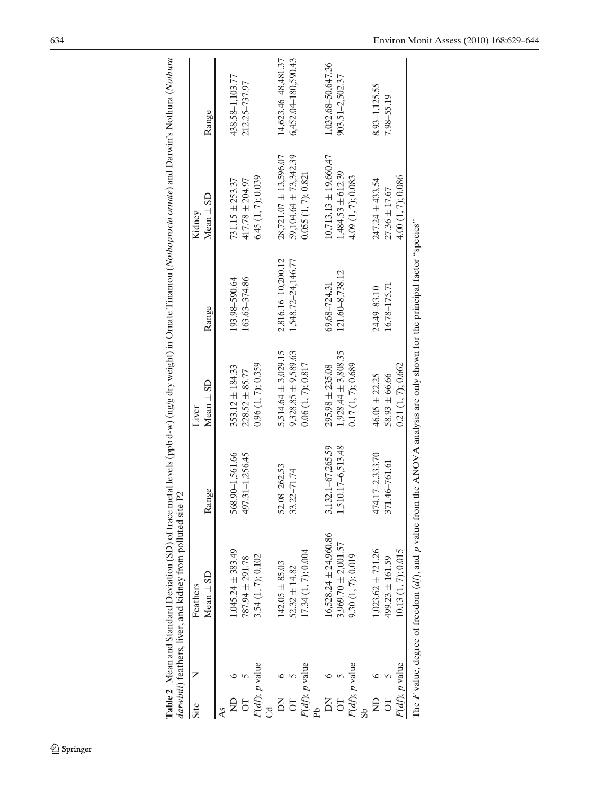<span id="page-5-0"></span>

|                   | Table 2 Mean and Standard Deviation (SD) of trace metal levels (ppb d-w) (ng/g dry weight) in Ornate Tinamou (Nothoprocta ornate) and Darwin's Nothura (Nothura<br>darwinii) feathers, liver, and kidney from polluted site P2 |                   |                         |                    |                           |                     |
|-------------------|--------------------------------------------------------------------------------------------------------------------------------------------------------------------------------------------------------------------------------|-------------------|-------------------------|--------------------|---------------------------|---------------------|
| Site              | Feathers                                                                                                                                                                                                                       |                   | Liver                   |                    | Kidnev                    |                     |
|                   | $Mean \pm SD$                                                                                                                                                                                                                  | Range             | $Mean \pm SD$           | Range              | Mean $\pm$ SD             | Range               |
|                   |                                                                                                                                                                                                                                |                   |                         |                    |                           |                     |
|                   | $1,045.24 \pm 383.49$                                                                                                                                                                                                          | 568.90-1.561.66   | $353.12 \pm 184.33$     | 193.98–590.64      | $731.15 \pm 253.37$       | 438.58-1.103.77     |
|                   | 787.94 ± 291.78                                                                                                                                                                                                                | 497.31-1.256.45   | $228.52 \pm 85.77$      | 163.63-374.86      | $417.78 \pm 204.97$       | 212.25–737.97       |
| $F(df)$ ; p value | 3.54 (1, 7); 0.102                                                                                                                                                                                                             |                   | 0.96(1, 7); 0.359       |                    | 6.45 (1, 7); 0.039        |                     |
|                   |                                                                                                                                                                                                                                |                   |                         |                    |                           |                     |
| $\overline{R}$    | $142.05 \pm 85.03$                                                                                                                                                                                                             | 52.08–262.53      | $5,514.64 \pm 3,029.15$ | 2,816.16-10.200.12 | $28,721.07 \pm 13,596.07$ | 14,623.46–48,481.37 |
| OT<br>O           | $52.32 \pm 14.82$                                                                                                                                                                                                              | 33.22-71.74       | $9.328.85 \pm 9.589.63$ | 1,548.72–24.146.77 | 59,104.64 $\pm$ 73,342.39 | 6,452.04-180,590.43 |
| $F(df)$ ; p value | 17.34 (1, 7); 0.004                                                                                                                                                                                                            |                   | 0.06(1, 7); 0.817       |                    | 0.055(1, 7); 0.821        |                     |
|                   |                                                                                                                                                                                                                                |                   |                         |                    |                           |                     |
| $\sum_{i=1}^{n}$  | $16,528.24 \pm 24.960.86$                                                                                                                                                                                                      | 3.132.1-67.265.59 | $295.98 \pm 235.08$     | $69.68 - 724.31$   | $10.713.13 \pm 19.660.47$ | 1,032.68-50,647.36  |
|                   | $3,969.70 \pm 2,001.57$                                                                                                                                                                                                        | 1,510.17-6,513.48 | $1,928.44 \pm 3,808.35$ | 121.60-8,738.12    | $1,484.53 \pm 612.39$     | 903.51–2,502.37     |
| $F(df)$ ; p value | 9.30 (1, 7); 0.019                                                                                                                                                                                                             |                   | 0.17(1, 7); 0.689       |                    | 4.09 (1, 7); 0.083        |                     |
|                   |                                                                                                                                                                                                                                |                   |                         |                    |                           |                     |
| ę                 | $1.023.62 \pm 721.26$                                                                                                                                                                                                          | 474.17-2.333.70   | $46.05 \pm 22.25$       | 24.49-83.10        | $247.24 \pm 433.54$       | 8.93-1.125.55       |
|                   | $499.23 \pm 161.59$                                                                                                                                                                                                            | 371.46-761.61     | $58.93 \pm 66.66$       | 16.78–175.71       | $27.36 \pm 17.67$         | 7.98–55.19          |
| $F(df)$ ; p value | 10.13 (1, 7); 0.015                                                                                                                                                                                                            |                   | 0.21(1, 7); 0.662       |                    | 4.00 (1, 7); 0.086        |                     |
|                   | The F value, degree of freedom $(df)$ , and p value from the ANOVA analysis are only shown for the principal factor "species"                                                                                                  |                   |                         |                    |                           |                     |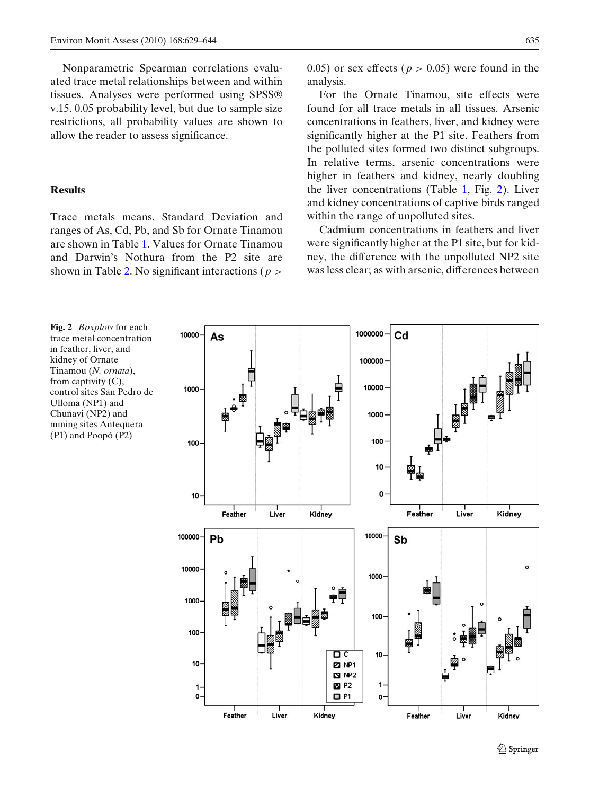<span id="page-6-0"></span>Nonparametric Spearman correlations evaluated trace metal relationships between and within tissues. Analyses were performed using SPSS® v.15. 0.05 probability level, but due to sample size restrictions, all probability values are shown to allow the reader to assess significance.

## **Results**

Trace metals means, Standard Deviation and ranges of As, Cd, Pb, and Sb for Ornate Tinamou are shown in Table [1.](#page-4-0) Values for Ornate Tinamou and Darwin's Nothura from the P2 site are shown in Table [2.](#page-5-0) No significant interactions ( $p >$ 

0.05) or sex effects ( $p > 0.05$ ) were found in the analysis.

For the Ornate Tinamou, site effects were found for all trace metals in all tissues. Arsenic concentrations in feathers, liver, and kidney were significantly higher at the P1 site. Feathers from the polluted sites formed two distinct subgroups. In relative terms, arsenic concentrations were higher in feathers and kidney, nearly doubling the liver concentrations (Table [1,](#page-4-0) Fig. 2). Liver and kidney concentrations of captive birds ranged within the range of unpolluted sites.

Cadmium concentrations in feathers and liver were significantly higher at the P1 site, but for kidney, the difference with the unpolluted NP2 site was less clear; as with arsenic, differences between

**Fig. 2** *Boxplots* for each trace metal concentration in feather, liver, and kidney of Ornate Tinamou (*N. ornata*), from captivity (C), control sites San Pedro de Ulloma (NP1) and Chuñavi (NP2) and mining sites Antequera (P1) and Poopó (P2)

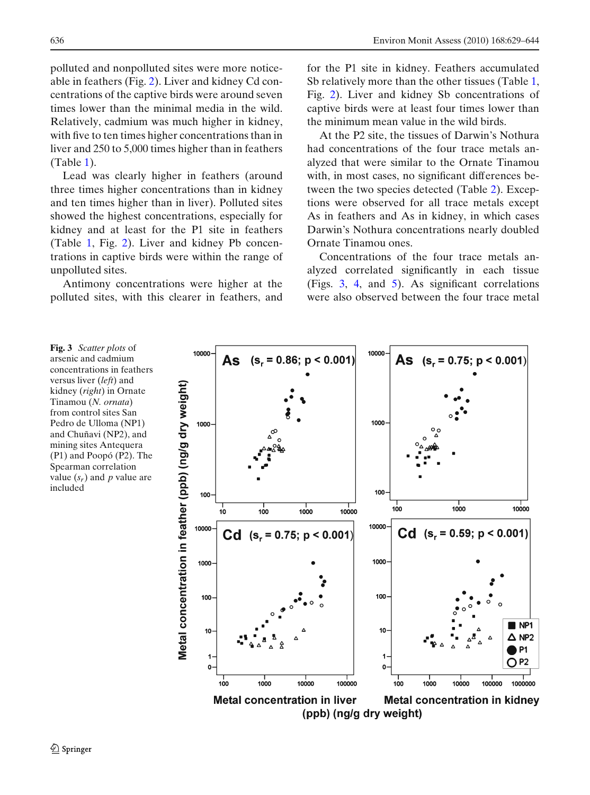polluted and nonpolluted sites were more noticeable in feathers (Fig. [2\)](#page-6-0). Liver and kidney Cd concentrations of the captive birds were around seven times lower than the minimal media in the wild. Relatively, cadmium was much higher in kidney, with five to ten times higher concentrations than in liver and 250 to 5,000 times higher than in feathers (Table [1\)](#page-4-0).

Lead was clearly higher in feathers (around three times higher concentrations than in kidney and ten times higher than in liver). Polluted sites showed the highest concentrations, especially for kidney and at least for the P1 site in feathers (Table [1,](#page-4-0) Fig. [2\)](#page-6-0). Liver and kidney Pb concentrations in captive birds were within the range of unpolluted sites.

Antimony concentrations were higher at the polluted sites, with this clearer in feathers, and for the P1 site in kidney. Feathers accumulated Sb relatively more than the other tissues (Table [1,](#page-4-0) Fig. [2\)](#page-6-0). Liver and kidney Sb concentrations of captive birds were at least four times lower than the minimum mean value in the wild birds.

At the P2 site, the tissues of Darwin's Nothura had concentrations of the four trace metals analyzed that were similar to the Ornate Tinamou with, in most cases, no significant differences between the two species detected (Table [2\)](#page-5-0). Exceptions were observed for all trace metals except As in feathers and As in kidney, in which cases Darwin's Nothura concentrations nearly doubled Ornate Tinamou ones.

Concentrations of the four trace metals analyzed correlated significantly in each tissue (Figs. 3, [4,](#page-8-0) and [5\)](#page-9-0). As significant correlations were also observed between the four trace metal

**Fig. 3** *Scatter plots* of arsenic and cadmium concentrations in feathers versus liver (*left*) and kidney (*right*) in Ornate Tinamou (*N. ornata*) from control sites San Pedro de Ulloma (NP1) and Chuñavi (NP2), and mining sites Antequera (P1) and Poopó (P2). The Spearman correlation value (*sr*) and *p* value are included



**Metal concentration in liver Metal concentration in kidney** (ppb) (ng/g dry weight)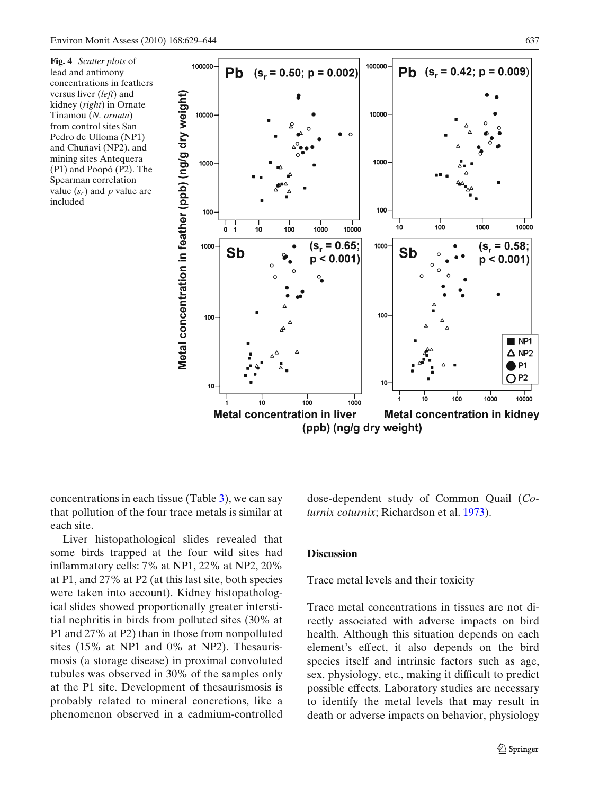<span id="page-8-0"></span>**Fig. 4** *Scatter plots* of lead and antimony concentrations in feathers versus liver (*left*) and kidney (*right*) in Ornate Tinamou (*N. ornata*) from control sites San Pedro de Ulloma (NP1) and Chuñavi (NP2), and mining sites Antequera (P1) and Poopó (P2). The Spearman correlation value (*sr*) and *p* value are included



concentrations in each tissue (Table [3\)](#page-9-0), we can say that pollution of the four trace metals is similar at each site.

Liver histopathological slides revealed that some birds trapped at the four wild sites had inflammatory cells: 7% at NP1, 22% at NP2, 20% at P1, and 27% at P2 (at this last site, both species were taken into account). Kidney histopathological slides showed proportionally greater interstitial nephritis in birds from polluted sites (30% at P1 and 27% at P2) than in those from nonpolluted sites (15% at NP1 and 0% at NP2). Thesaurismosis (a storage disease) in proximal convoluted tubules was observed in 30% of the samples only at the P1 site. Development of thesaurismosis is probably related to mineral concretions, like a phenomenon observed in a cadmium-controlled dose-dependent study of Common Quail (*Coturnix coturnix*; Richardson et al. [1973\)](#page-15-0).

#### **Discussion**

#### Trace metal levels and their toxicity

Trace metal concentrations in tissues are not directly associated with adverse impacts on bird health. Although this situation depends on each element's effect, it also depends on the bird species itself and intrinsic factors such as age, sex, physiology, etc., making it difficult to predict possible effects. Laboratory studies are necessary to identify the metal levels that may result in death or adverse impacts on behavior, physiology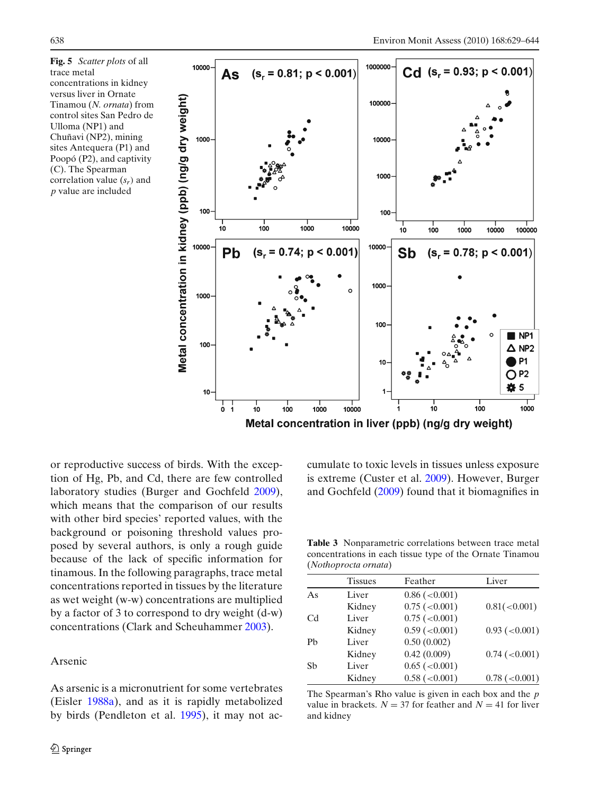<span id="page-9-0"></span>**Fig. 5** *Scatter plots* of all trace metal concentrations in kidney versus liver in Ornate Tinamou (*N. ornata*) from control sites San Pedro de Ulloma (NP1) and Chuñavi (NP2), mining sites Antequera (P1) and Poopó (P2), and captivity (C). The Spearman correlation value (*sr*) and *p* value are included



or reproductive success of birds. With the exception of Hg, Pb, and Cd, there are few controlled laboratory studies (Burger and Gochfel[d](#page-13-0) [2009\)](#page-13-0), which means that the comparison of our results with other bird species' reported values, with the background or poisoning threshold values proposed by several authors, is only a rough guide because of the lack of specific information for tinamous. In the following paragraphs, trace metal concentrations reported in tissues by the literature as wet weight (w-w) concentrations are multiplied by a factor of 3 to correspond to dry weight (d-w) concentrations (Clark and Scheuhamme[r](#page-14-0) [2003](#page-14-0)).

## Arsenic

As arsenic is a micronutrient for some vertebrates (Eisle[r](#page-14-0) [1988a\)](#page-14-0), and as it is rapidly metabolized by birds (Pendleton et al[.](#page-15-0) [1995](#page-15-0)), it may not accumulate to toxic levels in tissues unless exposure is extreme (Custer et al[.](#page-14-0) [2009](#page-14-0)). However, Burger and Gochfel[d](#page-13-0) [\(2009\)](#page-13-0) found that it biomagnifies in

**Table 3** Nonparametric correlations between trace metal concentrations in each tissue type of the Ornate Tinamou (*Nothoprocta ornata*)

|                | <b>Tissues</b> | Feather              | Liver                |
|----------------|----------------|----------------------|----------------------|
| As             | Liver          | $0.86$ ( $< 0.001$ ) |                      |
|                | Kidney         | $0.75$ (<0.001)      | 0.81(<0.001)         |
| C <sub>d</sub> | Liver          | $0.75$ (<0.001)      |                      |
|                | Kidney         | $0.59$ (< $0.001$ )  | $0.93$ ( $< 0.001$ ) |
| Ph             | Liver          | 0.50(0.002)          |                      |
|                | Kidney         | 0.42(0.009)          | $0.74$ ( $< 0.001$ ) |
| Sb             | Liver          | $0.65$ (< $0.001$ )  |                      |
|                | Kidney         | $0.58$ (< $0.001$ )  | $0.78$ ( $< 0.001$ ) |

The Spearman's Rho value is given in each box and the *p* value in brackets.  $N = 37$  for feather and  $N = 41$  for liver and kidney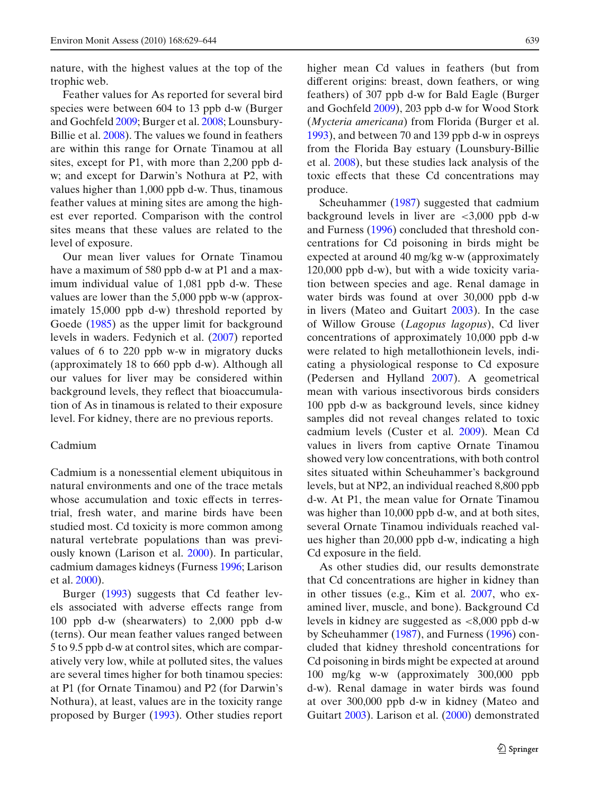nature, with the highest values at the top of the trophic web.

Feather values for As reported for several bird species were between 604 to 13 ppb d-w (Burger and Gochfel[d](#page-13-0) [2009](#page-13-0); Burger et al[.](#page-14-0) [2008](#page-14-0); Lounsbury-Billie et al[.](#page-15-0) [2008\)](#page-15-0). The values we found in feathers are within this range for Ornate Tinamou at all sites, except for P1, with more than 2,200 ppb dw; and except for Darwin's Nothura at P2, with values higher than 1,000 ppb d-w. Thus, tinamous feather values at mining sites are among the highest ever reported. Comparison with the control sites means that these values are related to the level of exposure.

Our mean liver values for Ornate Tinamou have a maximum of 580 ppb d-w at P1 and a maximum individual value of 1,081 ppb d-w. These values are lower than the 5,000 ppb w-w (approximately 15,000 ppb d-w) threshold reported by Goed[e](#page-14-0) [\(1985\)](#page-14-0) as the upper limit for background levels in waders. Fedynich et al[.](#page-14-0) [\(2007\)](#page-14-0) reported values of 6 to 220 ppb w-w in migratory ducks (approximately 18 to 660 ppb d-w). Although all our values for liver may be considered within background levels, they reflect that bioaccumulation of As in tinamous is related to their exposure level. For kidney, there are no previous reports.

#### Cadmium

Cadmium is a nonessential element ubiquitous in natural environments and one of the trace metals whose accumulation and toxic effects in terrestrial, fresh water, and marine birds have been studied most. Cd toxicity is more common among natural vertebrate populations than was previously known (Larison et al[.](#page-14-0) [2000](#page-14-0)). In particular, cadmium damages kidneys (Furnes[s](#page-14-0) [1996](#page-14-0); Larison et al[.](#page-14-0) [2000](#page-14-0)).

Burge[r](#page-13-0) [\(1993](#page-13-0)) suggests that Cd feather levels associated with adverse effects range from 100 ppb d-w (shearwaters) to 2,000 ppb d-w (terns). Our mean feather values ranged between 5 to 9.5 ppb d-w at control sites, which are comparatively very low, while at polluted sites, the values are several times higher for both tinamou species: at P1 (for Ornate Tinamou) and P2 (for Darwin's Nothura), at least, values are in the toxicity range proposed by Burge[r](#page-13-0) [\(1993](#page-13-0)). Other studies report higher mean Cd values in feathers (but from different origins: breast, down feathers, or wing feathers) of 307 ppb d-w for Bald Eagle (Burger and Gochfel[d](#page-13-0) [2009\)](#page-13-0), 203 ppb d-w for Wood Stork (*Mycteria americana*) from Florida (Burger et al[.](#page-14-0) [1993\)](#page-14-0), and between 70 and 139 ppb d-w in ospreys from the Florida Bay estuary (Lounsbury-Billie et al[.](#page-15-0) [2008\)](#page-15-0), but these studies lack analysis of the toxic effects that these Cd concentrations may produce.

Scheuhamme[r](#page-15-0) [\(1987](#page-15-0)) suggested that cadmium background levels in liver are <3,000 ppb d-w and Furnes[s](#page-14-0) [\(1996](#page-14-0)) concluded that threshold concentrations for Cd poisoning in birds might be expected at around 40 mg/kg w-w (approximately 120,000 ppb d-w), but with a wide toxicity variation between species and age. Renal damage in water birds was found at over 30,000 ppb d-w in livers (Mateo and Guitar[t](#page-15-0) [2003](#page-15-0)). In the case of Willow Grouse (*Lagopus lagopus*), Cd liver concentrations of approximately 10,000 ppb d-w were related to high metallothionein levels, indicating a physiological response to Cd exposure (Pedersen and Hyllan[d](#page-15-0) [2007\)](#page-15-0). A geometrical mean with various insectivorous birds considers 100 ppb d-w as background levels, since kidney samples did not reveal changes related to toxic cadmium levels (Custer et al[.](#page-14-0) [2009](#page-14-0)). Mean Cd values in livers from captive Ornate Tinamou showed very low concentrations, with both control sites situated within Scheuhammer's background levels, but at NP2, an individual reached 8,800 ppb d-w. At P1, the mean value for Ornate Tinamou was higher than 10,000 ppb d-w, and at both sites, several Ornate Tinamou individuals reached values higher than 20,000 ppb d-w, indicating a high Cd exposure in the field.

As other studies did, our results demonstrate that Cd concentrations are higher in kidney than in other tissues (e.g., Kim et al. [2007,](#page-14-0) who examined liver, muscle, and bone). Background Cd levels in kidney are suggested as  $< 8,000$  ppb d-w by Scheuhamme[r](#page-15-0) [\(1987\)](#page-15-0), and Furnes[s](#page-14-0) [\(1996\)](#page-14-0) concluded that kidney threshold concentrations for Cd poisoning in birds might be expected at around 100 mg/kg w-w (approximately 300,000 ppb d-w). Renal damage in water birds was found at over 300,000 ppb d-w in kidney (Mateo and Guitar[t](#page-15-0) [2003\)](#page-15-0). Larison et al[.](#page-14-0) [\(2000\)](#page-14-0) demonstrated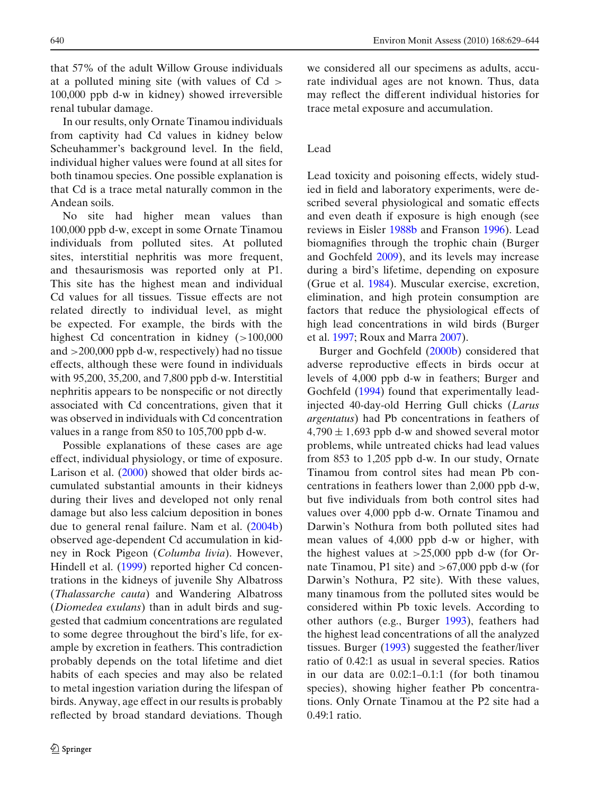that 57% of the adult Willow Grouse individuals at a polluted mining site (with values of Cd > 100,000 ppb d-w in kidney) showed irreversible renal tubular damage.

In our results, only Ornate Tinamou individuals from captivity had Cd values in kidney below Scheuhammer's background level. In the field, individual higher values were found at all sites for both tinamou species. One possible explanation is that Cd is a trace metal naturally common in the Andean soils.

No site had higher mean values than 100,000 ppb d-w, except in some Ornate Tinamou individuals from polluted sites. At polluted sites, interstitial nephritis was more frequent, and thesaurismosis was reported only at P1. This site has the highest mean and individual Cd values for all tissues. Tissue effects are not related directly to individual level, as might be expected. For example, the birds with the highest Cd concentration in kidney (>100,000 and >200,000 ppb d-w, respectively) had no tissue effects, although these were found in individuals with 95,200, 35,200, and 7,800 ppb d-w. Interstitial nephritis appears to be nonspecific or not directly associated with Cd concentrations, given that it was observed in individuals with Cd concentration values in a range from 850 to 105,700 ppb d-w.

Possible explanations of these cases are age effect, individual physiology, or time of exposure. Larison et al[.](#page-14-0) [\(2000](#page-14-0)) showed that older birds accumulated substantial amounts in their kidneys during their lives and developed not only renal damage but also less calcium deposition in bones due to general renal failure. Nam et al[.](#page-15-0) [\(2004b](#page-15-0)) observed age-dependent Cd accumulation in kidney in Rock Pigeon (*Columba livia*). However, Hindell et al[.](#page-14-0) [\(1999](#page-14-0)) reported higher Cd concentrations in the kidneys of juvenile Shy Albatross (*Thalassarche cauta*) and Wandering Albatross (*Diomedea exulans*) than in adult birds and suggested that cadmium concentrations are regulated to some degree throughout the bird's life, for example by excretion in feathers. This contradiction probably depends on the total lifetime and diet habits of each species and may also be related to metal ingestion variation during the lifespan of birds. Anyway, age effect in our results is probably reflected by broad standard deviations. Though we considered all our specimens as adults, accurate individual ages are not known. Thus, data may reflect the different individual histories for trace metal exposure and accumulation.

# Lead

Lead toxicity and poisoning effects, widely studied in field and laboratory experiments, were described several physiological and somatic effects and even death if exposure is high enough (see reviews in Eisler [1988b](#page-14-0) and Franson [1996](#page-14-0)). Lead biomagnifies through the trophic chain (Burger and Gochfel[d](#page-13-0) [2009\)](#page-13-0), and its levels may increase during a bird's lifetime, depending on exposure (Grue et al[.](#page-14-0) [1984\)](#page-14-0). Muscular exercise, excretion, elimination, and high protein consumption are factors that reduce the physiological effects of high lead concentrations in wild birds (Burger et al[.](#page-14-0) [1997;](#page-14-0) Roux and Marr[a](#page-15-0) [2007](#page-15-0)).

Burger and Gochfel[d](#page-13-0) [\(2000b](#page-13-0)) considered that adverse reproductive effects in birds occur at levels of 4,000 ppb d-w in feathers; Burger and Gochfel[d](#page-13-0) [\(1994\)](#page-13-0) found that experimentally leadinjected 40-day-old Herring Gull chicks (*Larus argentatus*) had Pb concentrations in feathers of  $4,790 \pm 1,693$  ppb d-w and showed several motor problems, while untreated chicks had lead values from 853 to 1,205 ppb d-w. In our study, Ornate Tinamou from control sites had mean Pb concentrations in feathers lower than 2,000 ppb d-w, but five individuals from both control sites had values over 4,000 ppb d-w. Ornate Tinamou and Darwin's Nothura from both polluted sites had mean values of 4,000 ppb d-w or higher, with the highest values at  $>25,000$  ppb d-w (for Ornate Tinamou, P1 site) and >67,000 ppb d-w (for Darwin's Nothura, P2 site). With these values, many tinamous from the polluted sites would be considered within Pb toxic levels. According to other authors (e.g., Burger [1993\)](#page-13-0), feathers had the highest lead concentrations of all the analyzed tissues. Burge[r](#page-13-0) [\(1993\)](#page-13-0) suggested the feather/liver ratio of 0.42:1 as usual in several species. Ratios in our data are 0.02:1–0.1:1 (for both tinamou species), showing higher feather Pb concentrations. Only Ornate Tinamou at the P2 site had a 0.49:1 ratio.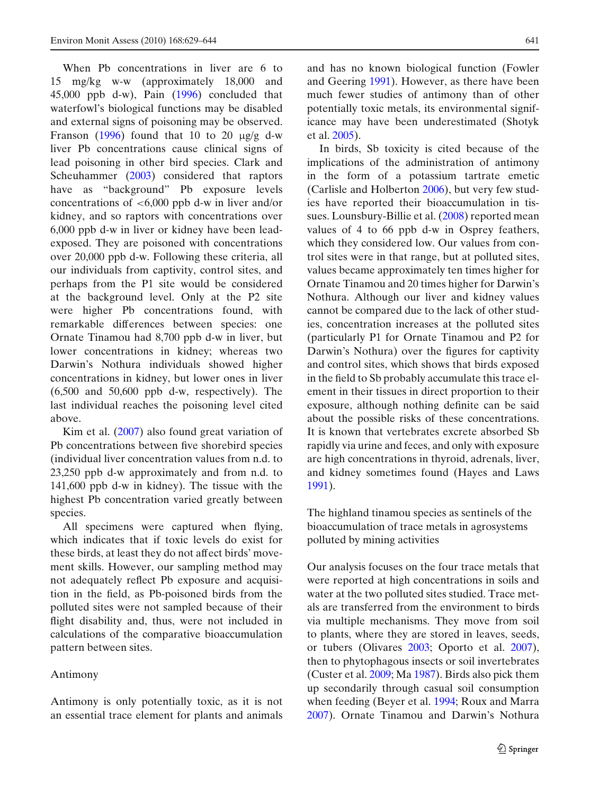When Pb concentrations in liver are 6 to 15 mg/kg w-w (approximately 18,000 and 45,000 ppb d-w), Pai[n](#page-15-0) [\(1996](#page-15-0)) concluded that waterfowl's biological functions may be disabled and external signs of poisoning may be observed. Fra[n](#page-14-0)son [\(1996\)](#page-14-0) found that 10 to 20  $\mu$ g/g d-w liver Pb concentrations cause clinical signs of lead poisoning in other bird species. Clark and Scheuhamme[r](#page-14-0) [\(2003](#page-14-0)) considered that raptors have as "background" Pb exposure levels concentrations of <6,000 ppb d-w in liver and/or kidney, and so raptors with concentrations over 6,000 ppb d-w in liver or kidney have been leadexposed. They are poisoned with concentrations over 20,000 ppb d-w. Following these criteria, all our individuals from captivity, control sites, and perhaps from the P1 site would be considered at the background level. Only at the P2 site were higher Pb concentrations found, with remarkable differences between species: one Ornate Tinamou had 8,700 ppb d-w in liver, but lower concentrations in kidney; whereas two Darwin's Nothura individuals showed higher concentrations in kidney, but lower ones in liver (6,500 and 50,600 ppb d-w, respectively). The last individual reaches the poisoning level cited above.

Kim et al[.](#page-14-0) [\(2007](#page-14-0)) also found great variation of Pb concentrations between five shorebird species (individual liver concentration values from n.d. to 23,250 ppb d-w approximately and from n.d. to 141,600 ppb d-w in kidney). The tissue with the highest Pb concentration varied greatly between species.

All specimens were captured when flying, which indicates that if toxic levels do exist for these birds, at least they do not affect birds' movement skills. However, our sampling method may not adequately reflect Pb exposure and acquisition in the field, as Pb-poisoned birds from the polluted sites were not sampled because of their flight disability and, thus, were not included in calculations of the comparative bioaccumulation pattern between sites.

#### Antimony

Antimony is only potentially toxic, as it is not an essential trace element for plants and animals and has no known biological function (Fowler and Geerin[g](#page-14-0) [1991\)](#page-14-0). However, as there have been much fewer studies of antimony than of other potentially toxic metals, its environmental significance may have been underestimated (Shotyk et al[.](#page-15-0) [2005\)](#page-15-0).

In birds, Sb toxicity is cited because of the implications of the administration of antimony in the form of a potassium tartrate emetic (Carlisle and Holberto[n](#page-14-0) [2006](#page-14-0)), but very few studies have reported their bioaccumulation in tissues. Lounsbury-Billie et al[.](#page-15-0) [\(2008\)](#page-15-0) reported mean values of 4 to 66 ppb d-w in Osprey feathers, which they considered low. Our values from control sites were in that range, but at polluted sites, values became approximately ten times higher for Ornate Tinamou and 20 times higher for Darwin's Nothura. Although our liver and kidney values cannot be compared due to the lack of other studies, concentration increases at the polluted sites (particularly P1 for Ornate Tinamou and P2 for Darwin's Nothura) over the figures for captivity and control sites, which shows that birds exposed in the field to Sb probably accumulate this trace element in their tissues in direct proportion to their exposure, although nothing definite can be said about the possible risks of these concentrations. It is known that vertebrates excrete absorbed Sb rapidly via urine and feces, and only with exposure are high concentrations in thyroid, adrenals, liver, and kidney sometimes found (Hayes and Law[s](#page-14-0) [1991\)](#page-14-0).

The highland tinamou species as sentinels of the bioaccumulation of trace metals in agrosystems polluted by mining activities

Our analysis focuses on the four trace metals that were reported at high concentrations in soils and water at the two polluted sites studied. Trace metals are transferred from the environment to birds via multiple mechanisms. They move from soil to plants, where they are stored in leaves, seeds, or tubers (Olivare[s](#page-15-0) [2003;](#page-15-0) Oporto et al[.](#page-15-0) [2007\)](#page-15-0), then to phytophagous insects or soil invertebrates (Custer et al[.](#page-14-0) [2009;](#page-14-0) M[a](#page-15-0) [1987](#page-15-0)). Birds also pick them up secondarily through casual soil consumption when feeding (Beyer et al[.](#page-13-0) [1994;](#page-13-0) Roux and Marr[a](#page-15-0) [2007\)](#page-15-0). Ornate Tinamou and Darwin's Nothura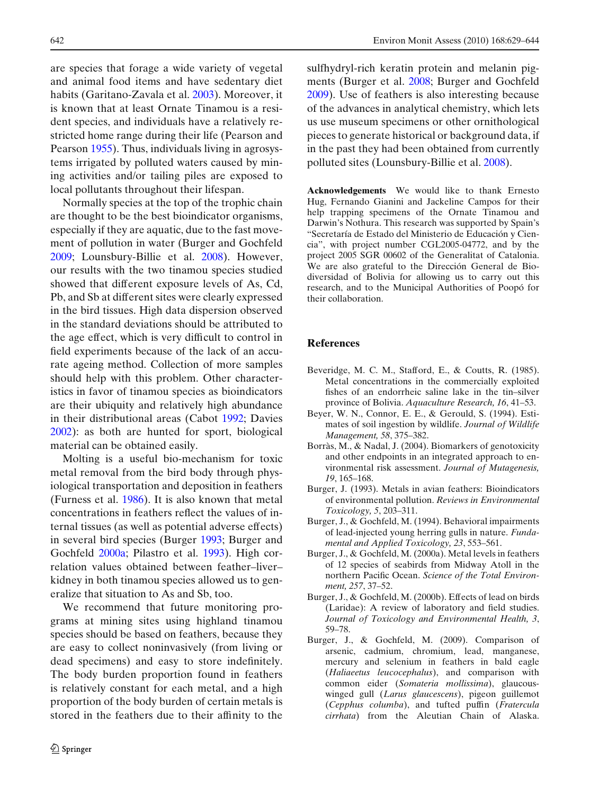<span id="page-13-0"></span>are species that forage a wide variety of vegetal and animal food items and have sedentary diet habits (Garitano-Zavala et al[.](#page-14-0) [2003\)](#page-14-0). Moreover, it is known that at least Ornate Tinamou is a resident species, and individuals have a relatively restricted home range during their life (Pearson and Pearso[n](#page-15-0) [1955](#page-15-0)). Thus, individuals living in agrosystems irrigated by polluted waters caused by mining activities and/or tailing piles are exposed to local pollutants throughout their lifespan.

Normally species at the top of the trophic chain are thought to be the best bioindicator organisms, especially if they are aquatic, due to the fast movement of pollution in water (Burger and Gochfeld 2009; Lounsbury-Billie et al[.](#page-15-0) [2008](#page-15-0)). However, our results with the two tinamou species studied showed that different exposure levels of As, Cd, Pb, and Sb at different sites were clearly expressed in the bird tissues. High data dispersion observed in the standard deviations should be attributed to the age effect, which is very difficult to control in field experiments because of the lack of an accurate ageing method. Collection of more samples should help with this problem. Other characteristics in favor of tinamou species as bioindicators are their ubiquity and relatively high abundance in their distributional areas (Cabo[t](#page-14-0) [1992;](#page-14-0) Davie[s](#page-14-0) [2002\)](#page-14-0): as both are hunted for sport, biological material can be obtained easily.

Molting is a useful bio-mechanism for toxic metal removal from the bird body through physiological transportation and deposition in feathers (Furness et al[.](#page-14-0) [1986](#page-14-0)). It is also known that metal concentrations in feathers reflect the values of internal tissues (as well as potential adverse effects) in several bird species (Burger 1993; Burger and Gochfeld 2000a; Pilastro et al[.](#page-15-0) [1993](#page-15-0)). High correlation values obtained between feather–liver– kidney in both tinamou species allowed us to generalize that situation to As and Sb, too.

We recommend that future monitoring programs at mining sites using highland tinamou species should be based on feathers, because they are easy to collect noninvasively (from living or dead specimens) and easy to store indefinitely. The body burden proportion found in feathers is relatively constant for each metal, and a high proportion of the body burden of certain metals is stored in the feathers due to their affinity to the

sulfhydryl-rich keratin protein and melanin pigments (Burger et al[.](#page-14-0) [2008](#page-14-0); Burger and Gochfeld 2009). Use of feathers is also interesting because of the advances in analytical chemistry, which lets us use museum specimens or other ornithological pieces to generate historical or background data, if in the past they had been obtained from currently polluted sites (Lounsbury-Billie et al[.](#page-15-0) [2008\)](#page-15-0).

**Acknowledgements** We would like to thank Ernesto Hug, Fernando Gianini and Jackeline Campos for their help trapping specimens of the Ornate Tinamou and Darwin's Nothura. This research was supported by Spain's "Secretaría de Estado del Ministerio de Educación y Ciencia", with project number CGL2005-04772, and by the project 2005 SGR 00602 of the Generalitat of Catalonia. We are also grateful to the Dirección General de Biodiversidad of Bolivia for allowing us to carry out this research, and to the Municipal Authorities of Poopó for their collaboration.

## **References**

- Beveridge, M. C. M., Stafford, E., & Coutts, R. (1985). Metal concentrations in the commercially exploited fishes of an endorrheic saline lake in the tin–silver province of Bolivia. *Aquaculture Research, 16*, 41–53.
- Beyer, W. N., Connor, E. E., & Gerould, S. (1994). Estimates of soil ingestion by wildlife. *Journal of Wildlife Management, 58*, 375–382.
- Borràs, M., & Nadal, J. (2004). Biomarkers of genotoxicity and other endpoints in an integrated approach to environmental risk assessment. *Journal of Mutagenesis, 19*, 165–168.
- Burger, J. (1993). Metals in avian feathers: Bioindicators of environmental pollution. *Reviews in Environmental Toxicology, 5*, 203–311.
- Burger, J., & Gochfeld, M. (1994). Behavioral impairments of lead-injected young herring gulls in nature. *Fundamental and Applied Toxicology, 23*, 553–561.
- Burger, J., & Gochfeld, M. (2000a). Metal levels in feathers of 12 species of seabirds from Midway Atoll in the northern Pacific Ocean. *Science of the Total Environment, 257*, 37–52.
- Burger, J., & Gochfeld, M. (2000b). Effects of lead on birds (Laridae): A review of laboratory and field studies. *Journal of Toxicology and Environmental Health, 3*, 59–78.
- Burger, J., & Gochfeld, M. (2009). Comparison of arsenic, cadmium, chromium, lead, manganese, mercury and selenium in feathers in bald eagle (*Haliaeetus leucocephalus*), and comparison with common eider (*Somateria mollissima*), glaucouswinged gull (*Larus glaucescens*), pigeon guillemot (*Cepphus columba*), and tufted puffin (*Fratercula cirrhata*) from the Aleutian Chain of Alaska.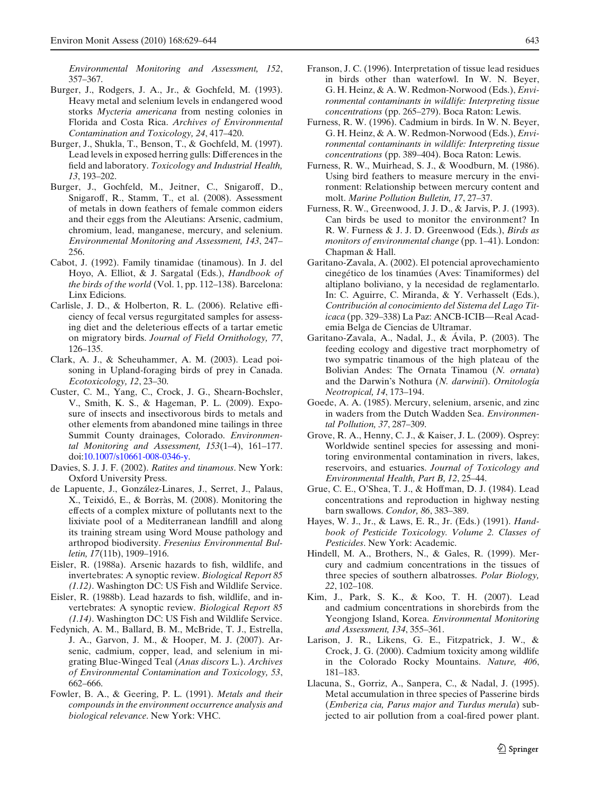<span id="page-14-0"></span>*Environmental Monitoring and Assessment, 152*, 357–367.

- Burger, J., Rodgers, J. A., Jr., & Gochfeld, M. (1993). Heavy metal and selenium levels in endangered wood storks *Mycteria americana* from nesting colonies in Florida and Costa Rica. *Archives of Environmental Contamination and Toxicology, 24*, 417–420.
- Burger, J., Shukla, T., Benson, T., & Gochfeld, M. (1997). Lead levels in exposed herring gulls: Differences in the field and laboratory. *Toxicology and Industrial Health, 13*, 193–202.
- Burger, J., Gochfeld, M., Jeitner, C., Snigaroff, D., Snigaroff, R., Stamm, T., et al. (2008). Assessment of metals in down feathers of female common eiders and their eggs from the Aleutians: Arsenic, cadmium, chromium, lead, manganese, mercury, and selenium. *Environmental Monitoring and Assessment, 143*, 247– 256.
- Cabot, J. (1992). Family tinamidae (tinamous). In J. del Hoyo, A. Elliot, & J. Sargatal (Eds.), *Handbook of the birds of the world* (Vol. 1, pp. 112–138). Barcelona: Linx Edicions.
- Carlisle, J. D., & Holberton, R. L. (2006). Relative efficiency of fecal versus regurgitated samples for assessing diet and the deleterious effects of a tartar emetic on migratory birds. *Journal of Field Ornithology, 77*, 126–135.
- Clark, A. J., & Scheuhammer, A. M. (2003). Lead poisoning in Upland-foraging birds of prey in Canada. *Ecotoxicology, 12*, 23–30.
- Custer, C. M., Yang, C., Crock, J. G., Shearn-Bochsler, V., Smith, K. S., & Hageman, P. L. (2009). Exposure of insects and insectivorous birds to metals and other elements from abandoned mine tailings in three Summit County drainages, Colorado. *Environmental Monitoring and Assessment, 153*(1–4), 161–177. doi[:10.1007/s10661-008-0346-y.](http://dx.doi.org/10.1007/s10661-008-0346-y)
- Davies, S. J. J. F. (2002). *Ratites and tinamous*. New York: Oxford University Press.
- de Lapuente, J., González-Linares, J., Serret, J., Palaus, X., Teixidó, E., & Borràs, M. (2008). Monitoring the effects of a complex mixture of pollutants next to the lixiviate pool of a Mediterranean landfill and along its training stream using Word Mouse pathology and arthropod biodiversity. *Fresenius Environmental Bulletin, 17*(11b), 1909–1916.
- Eisler, R. (1988a). Arsenic hazards to fish, wildlife, and invertebrates: A synoptic review. *Biological Report 85 (1.12)*. Washington DC: US Fish and Wildlife Service.
- Eisler, R. (1988b). Lead hazards to fish, wildlife, and invertebrates: A synoptic review. *Biological Report 85 (1.14)*. Washington DC: US Fish and Wildlife Service.
- Fedynich, A. M., Ballard, B. M., McBride, T. J., Estrella, J. A., Garvon, J. M., & Hooper, M. J. (2007). Arsenic, cadmium, copper, lead, and selenium in migrating Blue-Winged Teal (*Anas discors* L.). *Archives of Environmental Contamination and Toxicology, 53*, 662–666.
- Fowler, B. A., & Geering, P. L. (1991). *Metals and their compounds in the environment occurrence analysis and biological relevance*. New York: VHC.
- Franson, J. C. (1996). Interpretation of tissue lead residues in birds other than waterfowl. In W. N. Beyer, G. H. Heinz, & A. W. Redmon-Norwood (Eds.), *Environmental contaminants in wildlife: Interpreting tissue concentrations* (pp. 265–279). Boca Raton: Lewis.
- Furness, R. W. (1996). Cadmium in birds. In W. N. Beyer, G. H. Heinz, & A. W. Redmon-Norwood (Eds.), *Environmental contaminants in wildlife: Interpreting tissue concentrations* (pp. 389–404). Boca Raton: Lewis.
- Furness, R. W., Muirhead, S. J., & Woodburn, M. (1986). Using bird feathers to measure mercury in the environment: Relationship between mercury content and molt. *Marine Pollution Bulletin, 17*, 27–37.
- Furness, R. W., Greenwood, J. J. D., & Jarvis, P. J. (1993). Can birds be used to monitor the environment? In R. W. Furness & J. J. D. Greenwood (Eds.), *Birds as monitors of environmental change* (pp. 1–41). London: Chapman & Hall.
- Garitano-Zavala, A. (2002). El potencial aprovechamiento cinegético de los tinamúes (Aves: Tinamiformes) del altiplano boliviano, y la necesidad de reglamentarlo. In: C. Aguirre, C. Miranda, & Y. Verhasselt (Eds.), *Contribución al conocimiento del Sistema del Lago Titicaca* (pp. 329–338) La Paz: ANCB-ICIB—Real Academia Belga de Ciencias de Ultramar.
- Garitano-Zavala, A., Nadal, J., & Ávila, P. (2003). The feeding ecology and digestive tract morphometry of two sympatric tinamous of the high plateau of the Bolivian Andes: The Ornata Tinamou (*N. ornata*) and the Darwin's Nothura (*N. darwinii*). *Ornitología Neotropical, 14*, 173–194.
- Goede, A. A. (1985). Mercury, selenium, arsenic, and zinc in waders from the Dutch Wadden Sea. *Environmental Pollution, 37*, 287–309.
- Grove, R. A., Henny, C. J., & Kaiser, J. L. (2009). Osprey: Worldwide sentinel species for assessing and monitoring environmental contamination in rivers, lakes, reservoirs, and estuaries. *Journal of Toxicology and Environmental Health, Part B, 12*, 25–44.
- Grue, C. E., O'Shea, T. J., & Hoffman, D. J. (1984). Lead concentrations and reproduction in highway nesting barn swallows. *Condor, 86*, 383–389.
- Hayes, W. J., Jr., & Laws, E. R., Jr. (Eds.) (1991). *Handbook of Pesticide Toxicology. Volume 2. Classes of Pesticides*. New York: Academic.
- Hindell, M. A., Brothers, N., & Gales, R. (1999). Mercury and cadmium concentrations in the tissues of three species of southern albatrosses. *Polar Biology, 22*, 102–108.
- Kim, J., Park, S. K., & Koo, T. H. (2007). Lead and cadmium concentrations in shorebirds from the Yeongjong Island, Korea. *Environmental Monitoring and Assessment, 134*, 355–361.
- Larison, J. R., Likens, G. E., Fitzpatrick, J. W., & Crock, J. G. (2000). Cadmium toxicity among wildlife in the Colorado Rocky Mountains. *Nature, 406*, 181–183.
- Llacuna, S., Gorriz, A., Sanpera, C., & Nadal, J. (1995). Metal accumulation in three species of Passerine birds (*Emberiza cia, Parus major and Turdus merula*) subjected to air pollution from a coal-fired power plant.